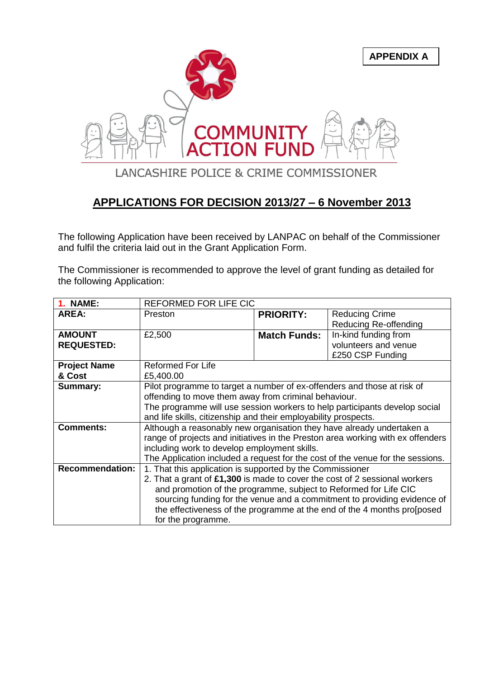

## **APPLICATIONS FOR DECISION 2013/27 – 6 November 2013**

The following Application have been received by LANPAC on behalf of the Commissioner and fulfil the criteria laid out in the Grant Application Form.

The Commissioner is recommended to approve the level of grant funding as detailed for the following Application:

| <b>1. NAME:</b>        | REFORMED FOR LIFE CIC                                                           |                     |                       |
|------------------------|---------------------------------------------------------------------------------|---------------------|-----------------------|
| <b>AREA:</b>           | Preston                                                                         | <b>PRIORITY:</b>    | <b>Reducing Crime</b> |
|                        |                                                                                 |                     | Reducing Re-offending |
| <b>AMOUNT</b>          | £2,500                                                                          | <b>Match Funds:</b> | In-kind funding from  |
| <b>REQUESTED:</b>      |                                                                                 |                     | volunteers and venue  |
|                        |                                                                                 |                     | £250 CSP Funding      |
| <b>Project Name</b>    | <b>Reformed For Life</b>                                                        |                     |                       |
| & Cost                 | £5,400.00                                                                       |                     |                       |
| <b>Summary:</b>        | Pilot programme to target a number of ex-offenders and those at risk of         |                     |                       |
|                        | offending to move them away from criminal behaviour.                            |                     |                       |
|                        | The programme will use session workers to help participants develop social      |                     |                       |
|                        | and life skills, citizenship and their employability prospects.                 |                     |                       |
| <b>Comments:</b>       | Although a reasonably new organisation they have already undertaken a           |                     |                       |
|                        | range of projects and initiatives in the Preston area working with ex offenders |                     |                       |
|                        | including work to develop employment skills.                                    |                     |                       |
|                        | The Application included a request for the cost of the venue for the sessions.  |                     |                       |
| <b>Recommendation:</b> | 1. That this application is supported by the Commissioner                       |                     |                       |
|                        | 2. That a grant of £1,300 is made to cover the cost of 2 sessional workers      |                     |                       |
|                        | and promotion of the programme, subject to Reformed for Life CIC                |                     |                       |
|                        | sourcing funding for the venue and a commitment to providing evidence of        |                     |                       |
|                        | the effectiveness of the programme at the end of the 4 months prosposed         |                     |                       |
|                        | for the programme.                                                              |                     |                       |